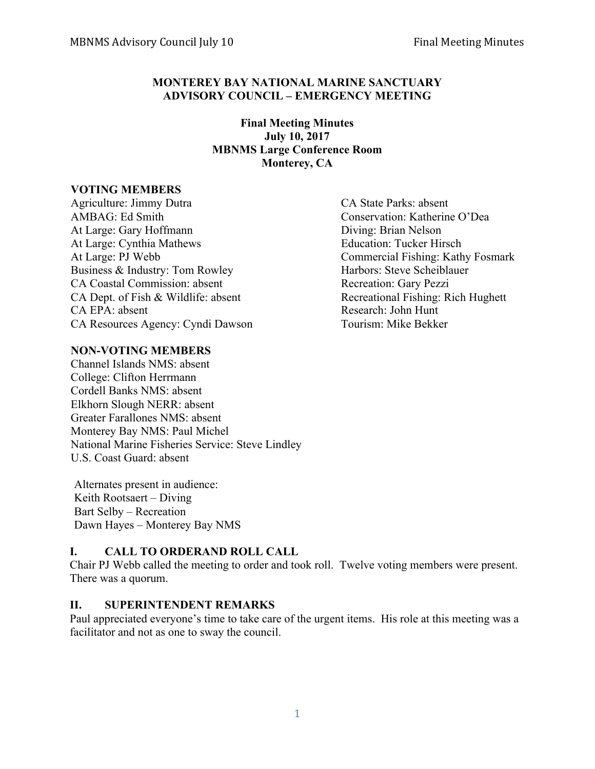## **MONTEREY BAY NATIONAL MARINE SANCTUARY ADVISORY COUNCIL – EMERGENCY MEETING**

**Final Meeting Minutes July 10, 2017 MBNMS Large Conference Room Monterey, CA**

#### **VOTING MEMBERS**

Agriculture: Jimmy Dutra CA State Parks: absent AMBAG: Ed Smith Conservation: Katherine O'Dea At Large: Gary Hoffmann Diving: Brian Nelson At Large: Cynthia Mathews Education: Tucker Hirsch At Large: PJ Webb Commercial Fishing: Kathy Fosmark Business & Industry: Tom Rowley Harbors: Steve Scheiblauer CA Coastal Commission: absent Recreation: Gary Pezzi CA Dept. of Fish & Wildlife: absent Recreational Fishing: Rich Hughett CA EPA: absent Research: John Hunt CA Resources Agency: Cyndi Dawson Tourism: Mike Bekker

## **NON-VOTING MEMBERS**

Channel Islands NMS: absent College: Clifton Herrmann Cordell Banks NMS: absent Elkhorn Slough NERR: absent Greater Farallones NMS: absent Monterey Bay NMS: Paul Michel National Marine Fisheries Service: Steve Lindley U.S. Coast Guard: absent

Alternates present in audience: Keith Rootsaert – Diving Bart Selby – Recreation Dawn Hayes – Monterey Bay NMS

#### **I. CALL TO ORDERAND ROLL CALL**

Chair PJ Webb called the meeting to order and took roll. Twelve voting members were present. There was a quorum.

#### **II. SUPERINTENDENT REMARKS**

Paul appreciated everyone's time to take care of the urgent items. His role at this meeting was a facilitator and not as one to sway the council.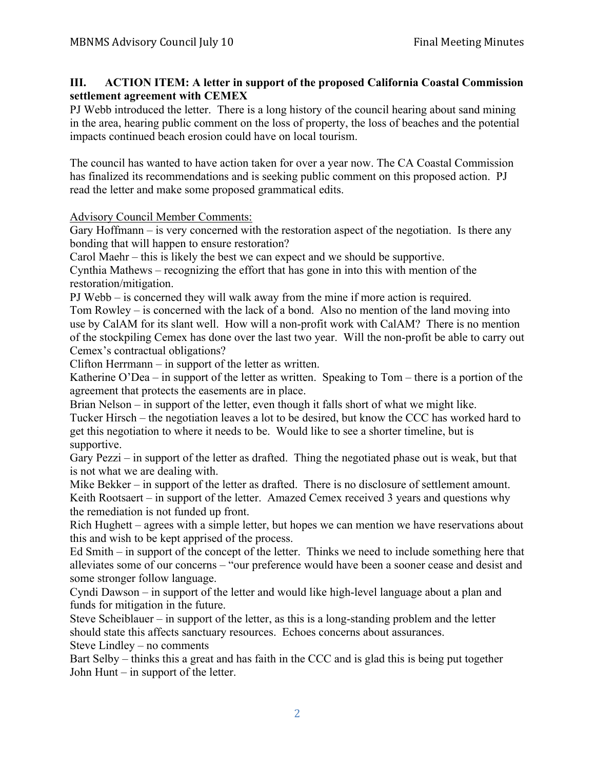## **III. ACTION ITEM: A letter in support of the proposed California Coastal Commission settlement agreement with CEMEX**

PJ Webb introduced the letter. There is a long history of the council hearing about sand mining in the area, hearing public comment on the loss of property, the loss of beaches and the potential impacts continued beach erosion could have on local tourism.

The council has wanted to have action taken for over a year now. The CA Coastal Commission has finalized its recommendations and is seeking public comment on this proposed action. PJ read the letter and make some proposed grammatical edits.

Advisory Council Member Comments:

Gary Hoffmann – is very concerned with the restoration aspect of the negotiation. Is there any bonding that will happen to ensure restoration?

Carol Maehr – this is likely the best we can expect and we should be supportive.

Cynthia Mathews – recognizing the effort that has gone in into this with mention of the restoration/mitigation.

PJ Webb – is concerned they will walk away from the mine if more action is required.

Tom Rowley – is concerned with the lack of a bond. Also no mention of the land moving into use by CalAM for its slant well. How will a non-profit work with CalAM? There is no mention of the stockpiling Cemex has done over the last two year. Will the non-profit be able to carry out Cemex's contractual obligations?

Clifton Herrmann – in support of the letter as written.

Katherine O'Dea – in support of the letter as written. Speaking to Tom – there is a portion of the agreement that protects the easements are in place.

Brian Nelson – in support of the letter, even though it falls short of what we might like.

Tucker Hirsch – the negotiation leaves a lot to be desired, but know the CCC has worked hard to get this negotiation to where it needs to be. Would like to see a shorter timeline, but is supportive.

Gary Pezzi – in support of the letter as drafted. Thing the negotiated phase out is weak, but that is not what we are dealing with.

Mike Bekker – in support of the letter as drafted. There is no disclosure of settlement amount. Keith Rootsaert – in support of the letter. Amazed Cemex received 3 years and questions why the remediation is not funded up front.

Rich Hughett – agrees with a simple letter, but hopes we can mention we have reservations about this and wish to be kept apprised of the process.

Ed Smith – in support of the concept of the letter. Thinks we need to include something here that alleviates some of our concerns – "our preference would have been a sooner cease and desist and some stronger follow language.

Cyndi Dawson – in support of the letter and would like high-level language about a plan and funds for mitigation in the future.

Steve Scheiblauer – in support of the letter, as this is a long-standing problem and the letter should state this affects sanctuary resources. Echoes concerns about assurances.

Steve Lindley – no comments

Bart Selby – thinks this a great and has faith in the CCC and is glad this is being put together John Hunt – in support of the letter.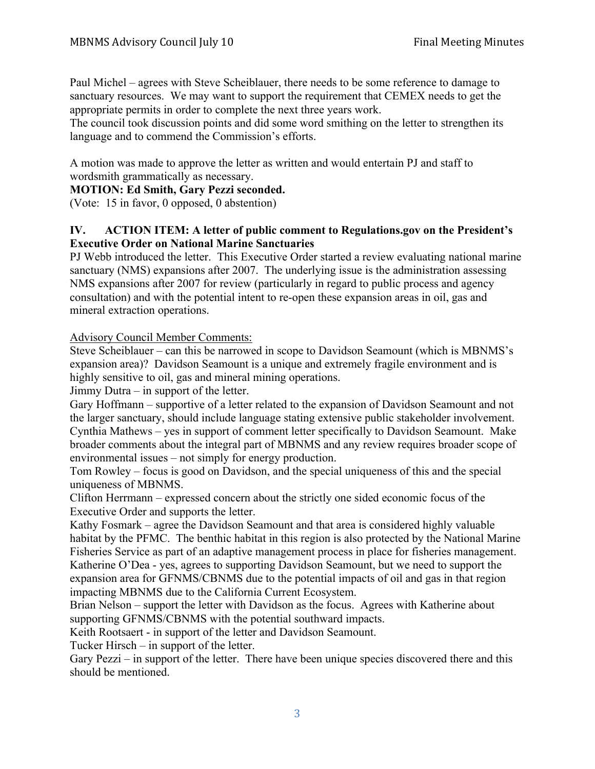Paul Michel – agrees with Steve Scheiblauer, there needs to be some reference to damage to sanctuary resources. We may want to support the requirement that CEMEX needs to get the appropriate permits in order to complete the next three years work.

The council took discussion points and did some word smithing on the letter to strengthen its language and to commend the Commission's efforts.

A motion was made to approve the letter as written and would entertain PJ and staff to wordsmith grammatically as necessary.

**MOTION: Ed Smith, Gary Pezzi seconded.**

(Vote: 15 in favor, 0 opposed, 0 abstention)

# **IV. ACTION ITEM: A letter of public comment to Regulations.gov on the President's Executive Order on National Marine Sanctuaries**

PJ Webb introduced the letter. This Executive Order started a review evaluating national marine sanctuary (NMS) expansions after 2007. The underlying issue is the administration assessing NMS expansions after 2007 for review (particularly in regard to public process and agency consultation) and with the potential intent to re-open these expansion areas in oil, gas and mineral extraction operations.

Advisory Council Member Comments:

Steve Scheiblauer – can this be narrowed in scope to Davidson Seamount (which is MBNMS's expansion area)? Davidson Seamount is a unique and extremely fragile environment and is highly sensitive to oil, gas and mineral mining operations.

Jimmy Dutra – in support of the letter.

Gary Hoffmann – supportive of a letter related to the expansion of Davidson Seamount and not the larger sanctuary, should include language stating extensive public stakeholder involvement. Cynthia Mathews – yes in support of comment letter specifically to Davidson Seamount. Make broader comments about the integral part of MBNMS and any review requires broader scope of environmental issues – not simply for energy production.

Tom Rowley – focus is good on Davidson, and the special uniqueness of this and the special uniqueness of MBNMS.

Clifton Herrmann – expressed concern about the strictly one sided economic focus of the Executive Order and supports the letter.

Kathy Fosmark – agree the Davidson Seamount and that area is considered highly valuable habitat by the PFMC. The benthic habitat in this region is also protected by the National Marine Fisheries Service as part of an adaptive management process in place for fisheries management. Katherine O'Dea - yes, agrees to supporting Davidson Seamount, but we need to support the expansion area for GFNMS/CBNMS due to the potential impacts of oil and gas in that region impacting MBNMS due to the California Current Ecosystem.

Brian Nelson – support the letter with Davidson as the focus. Agrees with Katherine about supporting GFNMS/CBNMS with the potential southward impacts.

Keith Rootsaert - in support of the letter and Davidson Seamount.

Tucker Hirsch – in support of the letter.

Gary Pezzi – in support of the letter. There have been unique species discovered there and this should be mentioned.